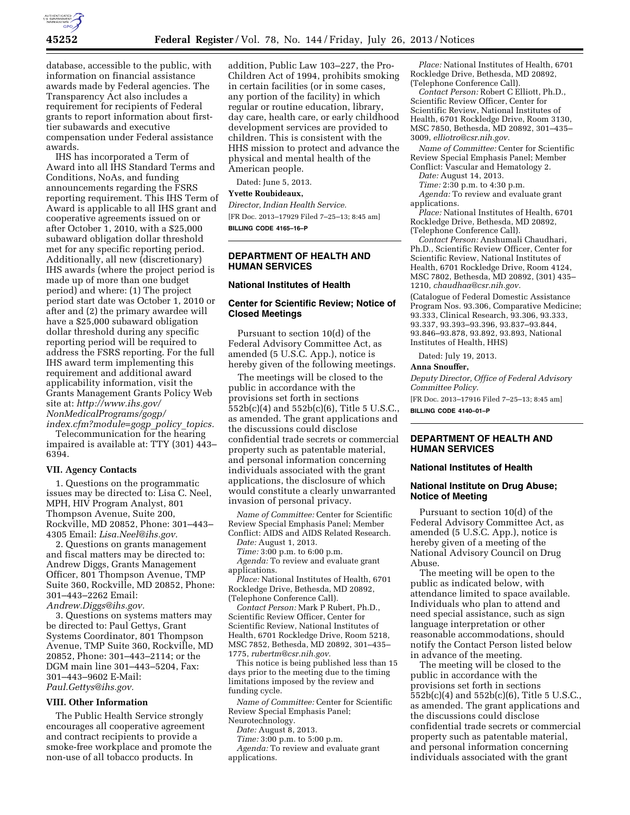

database, accessible to the public, with information on financial assistance awards made by Federal agencies. The Transparency Act also includes a requirement for recipients of Federal grants to report information about firsttier subawards and executive compensation under Federal assistance awards.

IHS has incorporated a Term of Award into all IHS Standard Terms and Conditions, NoAs, and funding announcements regarding the FSRS reporting requirement. This IHS Term of Award is applicable to all IHS grant and cooperative agreements issued on or after October 1, 2010, with a \$25,000 subaward obligation dollar threshold met for any specific reporting period. Additionally, all new (discretionary) IHS awards (where the project period is made up of more than one budget period) and where: (1) The project period start date was October 1, 2010 or after and (2) the primary awardee will have a \$25,000 subaward obligation dollar threshold during any specific reporting period will be required to address the FSRS reporting. For the full IHS award term implementing this requirement and additional award applicability information, visit the Grants Management Grants Policy Web site at: *[http://www.ihs.gov/](http://www.ihs.gov/NonMedicalPrograms/gogp/index.cfm?module=gogp_policy_topics) [NonMedicalPrograms/gogp/](http://www.ihs.gov/NonMedicalPrograms/gogp/index.cfm?module=gogp_policy_topics)* 

*[index.cfm?module=gogp](http://www.ihs.gov/NonMedicalPrograms/gogp/index.cfm?module=gogp_policy_topics)*\_*policy*\_*topics.*  Telecommunication for the hearing impaired is available at: TTY (301) 443– 6394.

### **VII. Agency Contacts**

1. Questions on the programmatic issues may be directed to: Lisa C. Neel, MPH, HIV Program Analyst, 801 Thompson Avenue, Suite 200, Rockville, MD 20852, Phone: 301–443– 4305 Email: *[Lisa.Neel@ihs.gov.](mailto:Lisa.Neel@ihs.gov)* 

2. Questions on grants management and fiscal matters may be directed to: Andrew Diggs, Grants Management Officer, 801 Thompson Avenue, TMP Suite 360, Rockville, MD 20852, Phone: 301–443–2262 Email: *[Andrew.Diggs@ihs.gov.](mailto:Andrew.Diggs@ihs.gov)* 

3. Questions on systems matters may be directed to: Paul Gettys, Grant Systems Coordinator, 801 Thompson Avenue, TMP Suite 360, Rockville, MD 20852, Phone: 301–443–2114; or the DGM main line 301–443–5204, Fax: 301–443–9602 E-Mail: *[Paul.Gettys@ihs.gov.](mailto:Paul.Gettys@ihs.gov)* 

### **VIII. Other Information**

The Public Health Service strongly encourages all cooperative agreement and contract recipients to provide a smoke-free workplace and promote the non-use of all tobacco products. In

addition, Public Law 103–227, the Pro-Children Act of 1994, prohibits smoking in certain facilities (or in some cases, any portion of the facility) in which regular or routine education, library, day care, health care, or early childhood development services are provided to children. This is consistent with the HHS mission to protect and advance the physical and mental health of the American people.

Dated: June 5, 2013.

**Yvette Roubideaux,** 

*Director, Indian Health Service.*  [FR Doc. 2013–17929 Filed 7–25–13; 8:45 am] **BILLING CODE 4165–16–P** 

## **DEPARTMENT OF HEALTH AND HUMAN SERVICES**

### **National Institutes of Health**

## **Center for Scientific Review; Notice of Closed Meetings**

Pursuant to section 10(d) of the Federal Advisory Committee Act, as amended (5 U.S.C. App.), notice is hereby given of the following meetings.

The meetings will be closed to the public in accordance with the provisions set forth in sections 552b(c)(4) and 552b(c)(6), Title 5 U.S.C., as amended. The grant applications and the discussions could disclose confidential trade secrets or commercial property such as patentable material, and personal information concerning individuals associated with the grant applications, the disclosure of which would constitute a clearly unwarranted invasion of personal privacy.

*Name of Committee:* Center for Scientific Review Special Emphasis Panel; Member Conflict: AIDS and AIDS Related Research.

*Date:* August 1, 2013.

*Time:* 3:00 p.m. to 6:00 p.m.

*Agenda:* To review and evaluate grant applications.

*Place:* National Institutes of Health, 6701 Rockledge Drive, Bethesda, MD 20892, (Telephone Conference Call).

*Contact Person:* Mark P Rubert, Ph.D., Scientific Review Officer, Center for Scientific Review, National Institutes of Health, 6701 Rockledge Drive, Room 5218, MSC 7852, Bethesda, MD 20892, 301–435– 1775, *[rubertm@csr.nih.gov.](mailto:rubertm@csr.nih.gov)* 

This notice is being published less than 15 days prior to the meeting due to the timing limitations imposed by the review and funding cycle.

*Name of Committee:* Center for Scientific Review Special Emphasis Panel; Neurotechnology.

*Date:* August 8, 2013.

*Time:* 3:00 p.m. to 5:00 p.m.

*Agenda:* To review and evaluate grant applications.

*Place:* National Institutes of Health, 6701 Rockledge Drive, Bethesda, MD 20892, (Telephone Conference Call).

*Contact Person:* Robert C Elliott, Ph.D., Scientific Review Officer, Center for Scientific Review, National Institutes of Health, 6701 Rockledge Drive, Room 3130, MSC 7850, Bethesda, MD 20892, 301–435– 3009, *[elliotro@csr.nih.gov.](mailto:elliotro@csr.nih.gov)* 

*Name of Committee:* Center for Scientific Review Special Emphasis Panel; Member Conflict: Vascular and Hematology 2.

*Date:* August 14, 2013.

*Time:* 2:30 p.m. to 4:30 p.m. *Agenda:* To review and evaluate grant applications.

*Place:* National Institutes of Health, 6701 Rockledge Drive, Bethesda, MD 20892, (Telephone Conference Call).

*Contact Person:* Anshumali Chaudhari, Ph.D., Scientific Review Officer, Center for Scientific Review, National Institutes of Health, 6701 Rockledge Drive, Room 4124, MSC 7802, Bethesda, MD 20892, (301) 435– 1210, *[chaudhaa@csr.nih.gov.](mailto:chaudhaa@csr.nih.gov)*  (Catalogue of Federal Domestic Assistance Program Nos. 93.306, Comparative Medicine; 93.333, Clinical Research, 93.306, 93.333, 93.337, 93.393–93.396, 93.837–93.844, 93.846–93.878, 93.892, 93.893, National Institutes of Health, HHS)

Dated: July 19, 2013.

**Anna Snouffer,** 

*Deputy Director, Office of Federal Advisory Committee Policy.* 

[FR Doc. 2013–17916 Filed 7–25–13; 8:45 am] **BILLING CODE 4140–01–P** 

## **DEPARTMENT OF HEALTH AND HUMAN SERVICES**

### **National Institutes of Health**

## **National Institute on Drug Abuse; Notice of Meeting**

Pursuant to section 10(d) of the Federal Advisory Committee Act, as amended (5 U.S.C. App.), notice is hereby given of a meeting of the National Advisory Council on Drug Abuse.

The meeting will be open to the public as indicated below, with attendance limited to space available. Individuals who plan to attend and need special assistance, such as sign language interpretation or other reasonable accommodations, should notify the Contact Person listed below in advance of the meeting.

The meeting will be closed to the public in accordance with the provisions set forth in sections 552b(c)(4) and 552b(c)(6), Title 5 U.S.C., as amended. The grant applications and the discussions could disclose confidential trade secrets or commercial property such as patentable material, and personal information concerning individuals associated with the grant